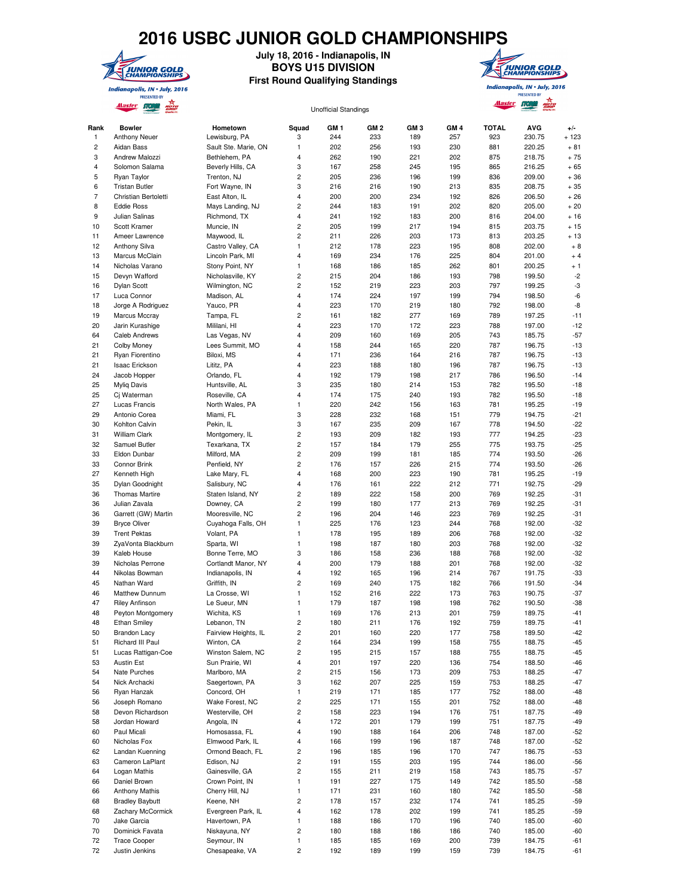## **2016 USBC JUNIOR GOLD CHAMPIONSHIPS**



**July 18, 2016 - Indianapolis, IN BOYS U15 DIVISION**

**First Round Qualifying Standings**



Master no. 2 Alaster Storm and Unofficial Standings Rank Bowler Hometown Squad GM 1 GM 2 GM 3 GM 4 TOTAL AVG +/- 1 Anthony Neuer Lewisburg, PA 3 244 233 189 257 923 230.75 + 123 2 Aidan Bass Sault Ste. Marie, ON 1 202 256 193 230 881 220.25 + 81 3 Andrew Malozzi Bethlehem, PA 4 262 190 221 202 875 218.75 + 75 4 Solomon Salama Beverly Hills, CA 3 167 258 245 195 865 216.25 + 65 5 Ryan Taylor Trenton, NJ 2 205 236 196 199 836 209.00 + 36 6 Tristan Butler Fort Wayne, IN 3 216 216 190 213 835 208.75 + 35 7 Christian Bertoletti East Alton, IL 4 200 200 234 192 826 206.50 + 26 8 Eddie Ross Mays Landing, NJ 2 244 183 191 202 820 205.00 + 20 9 Julian Salinas Richmond, TX 4 241 192 183 200 816 204.00 + 16 10 Scott Kramer Muncie, IN 2 205 199 217 194 815 203.75 + 15 11 Ameer Lawrence Maywood, IL 2 211 226 203 173 813 203.25 + 13 12 Anthony Silva Castro Valley, CA 1 212 178 223 195 808 202.00 + 8 13 Marcus McClain Lincoln Park, MI 4 169 234 176 225 804 201.00 + 4 14 Nicholas Varano Stony Point, NY 1 168 186 185 262 801 200.25 + 1 15 Devyn Wafford Nicholasville, KY 2 215 204 186 193 798 199.50 -2 16 Dylan Scott Wilmington, NC 2 152 219 223 203 797 199.25 -3 17 Luca Connor Madison, AL 4 174 224 197 199 794 198.50 -6 18 Jorge A Rodriguez Yauco, PR 4 223 170 219 180 792 198.00 -8 19 Marcus Mccray Tampa, FL 2 161 182 277 169 789 197.25 -11 20 Jarin Kurashige Mililani, HI 4 223 170 172 223 788 197.00 -12 64 Caleb Andrews Las Vegas, NV 4 209 160 169 205 743 185.75 -57 21 Colby Money Lees Summit, MO 4 158 244 165 220 787 196.75 -13 21 Ryan Fiorentino Biloxi, MS 4 171 236 164 216 787 196.75 -13 21 Isaac Erickson Lititz, PA 4 223 188 180 196 787 196.75 -13 24 Jacob Hopper Orlando, FL 4 192 179 198 217 786 196.50 -14 25 Myliq Davis Huntsville, AL 3 235 180 214 153 782 195.50 -18 25 Cj Waterman Roseville, CA 4 174 175 240 193 782 195.50 -18 27 Lucas Francis North Wales, PA 1 220 242 156 163 781 195.25 -19 29 Antonio Corea Miami, FL 3 228 232 168 151 779 194.75 -21 30 Kohlton Calvin Pekin, IL 3 167 235 209 167 778 194.50 -22 31 William Clark Montgomery, IL 2 193 209 182 193 777 194.25 -23 32 Samuel Butler Texarkana, TX 2 157 184 179 255 775 193.75 -25 33 Eldon Dunbar Milford, MA 2 209 199 181 185 774 193.50 -26 33 Connor Brink Penfield, NY 2 176 157 226 215 774 193.50 -26 27 Kenneth High Lake Mary, FL 4 168 200 223 190 781 195.25 -19 35 Dylan Goodnight Salisbury, NC 4 176 161 222 212 771 192.75 -29 36 Thomas Martire Staten Island, NY 2 189 222 158 200 769 192.25 -31 36 Julian Zavala Downey, CA 2 199 180 177 213 769 192.25 -31 36 Garrett (GW) Martin Mooresville, NC 2 196 204 146 223 769 192.25 -31 39 Bryce Oliver Cuyahoga Falls, OH 1 225 176 123 244 768 192.00 -32 39 Trent Pektas Volant, PA 1 178 195 189 206 768 192.00 -32 39 ZyaVonta Blackburn Sparta, WI 1 198 187 180 203 768 192.00 -32 39 Kaleb House Bonne Terre, MO 3 186 158 236 188 768 192.00 -32 39 Nicholas Perrone Cortlandt Manor, NY 4 200 179 188 201 768 192.00 -32 44 Nikolas Bowman Indianapolis, IN 4 192 165 196 214 767 191.75 -33 45 Nathan Ward Griffith, IN 2 169 240 175 182 766 191.50 -34 46 Matthew Dunnum La Crosse, WI 1 152 216 222 173 763 190.75 -37 47 Riley Anfinson Le Sueur, MN 1 179 187 198 198 762 190.50 -38 48 Peyton Montgomery Wichita, KS 1 169 176 213 201 759 189.75 -41 48 Ethan Smiley Lebanon, TN 2 180 211 176 192 759 189.75 -41 50 Brandon Lacy Fairview Heights, IL 2 201 160 220 177 758 189.50 -42

 51 Richard III Paul Winton, CA 2 164 234 199 158 755 188.75 -45 51 Lucas Rattigan-Coe Winston Salem, NC 2 195 215 157 188 755 188.75 -45 53 Austin Est Sun Prairie, WI 4 201 197 220 136 754 188.50 -46 54 Nate Purches Marlboro, MA 2 215 156 173 209 753 188.25 -47 54 Nick Archacki Saegertown, PA 3 162 207 225 159 753 188.25 -47 56 Ryan Hanzak Concord, OH 1 219 171 185 177 752 188.00 -48 56 Joseph Romano Wake Forest, NC 2 225 171 155 201 752 188.00 -48 58 Devon Richardson Westerville, OH 2 158 223 194 176 751 187.75 -49 58 Jordan Howard Angola, IN 4 172 201 179 199 751 187.75 -49 60 Paul Micali Homosassa, FL 4 190 188 164 206 748 187.00 -52 60 Nicholas Fox Elmwood Park, IL 4 166 199 196 187 748 187.00 -52 62 Landan Kuenning Ormond Beach, FL 2 196 185 196 170 747 186.75 -53 63 Cameron LaPlant Edison, NJ 2 191 155 203 195 744 186.00 -56 64 Logan Mathis Gainesville, GA 2 155 211 219 158 743 185.75 -57 66 Daniel Brown Crown Point, IN 1 191 227 175 149 742 185.50 -58 66 Anthony Mathis Cherry Hill, NJ 1 171 231 160 180 742 185.50 -58 68 Bradley Baybutt Keene, NH 2 178 157 232 174 741 185.25 -59 68 Zachary McCormick Evergreen Park, IL 4 162 178 202 199 741 185.25 -59 70 Jake Garcia Havertown, PA 1 188 186 170 196 740 185.00 -60 70 Dominick Favata Niskayuna, NY 2 180 188 186 186 740 185.00 -60 72 Trace Cooper Seymour, IN 1 185 185 169 200 739 184.75 -61 72 Justin Jenkins Chesapeake, VA 2 192 189 199 159 739 184.75 -61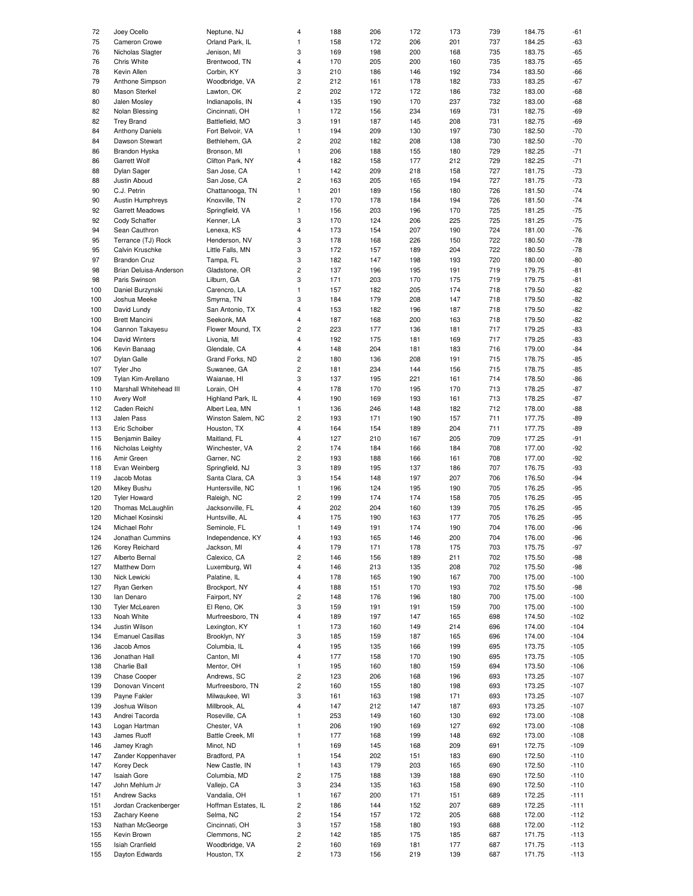| 72  | Joey Ocello             | Neptune, NJ         | 4                       | 188 | 206 | 172 | 173 | 739 | 184.75 | -61    |
|-----|-------------------------|---------------------|-------------------------|-----|-----|-----|-----|-----|--------|--------|
| 75  |                         | Orland Park, IL     | 1                       |     | 172 | 206 | 201 | 737 | 184.25 | $-63$  |
|     | Cameron Crowe           |                     |                         | 158 |     |     |     |     |        |        |
| 76  | Nicholas Slagter        | Jenison, MI         | 3                       | 169 | 198 | 200 | 168 | 735 | 183.75 | $-65$  |
| 76  | Chris White             | Brentwood, TN       | 4                       | 170 | 205 | 200 | 160 | 735 | 183.75 | $-65$  |
| 78  | Kevin Allen             | Corbin, KY          | 3                       | 210 | 186 | 146 | 192 | 734 | 183.50 | $-66$  |
| 79  | Anthone Simpson         | Woodbridge, VA      | $\overline{\mathbf{c}}$ | 212 | 161 | 178 | 182 | 733 | 183.25 | $-67$  |
|     |                         |                     |                         |     |     |     |     |     |        |        |
| 80  | Mason Sterkel           | Lawton, OK          | 2                       | 202 | 172 | 172 | 186 | 732 | 183.00 | $-68$  |
| 80  | Jalen Mosley            | Indianapolis, IN    | 4                       | 135 | 190 | 170 | 237 | 732 | 183.00 | $-68$  |
| 82  | Nolan Blessing          | Cincinnati, OH      | 1                       | 172 | 156 | 234 | 169 | 731 | 182.75 | -69    |
| 82  | <b>Trey Brand</b>       | Battlefield, MO     | 3                       | 191 | 187 | 145 | 208 | 731 | 182.75 | -69    |
|     |                         |                     |                         |     |     |     |     |     |        |        |
| 84  | <b>Anthony Daniels</b>  | Fort Belvoir, VA    | 1                       | 194 | 209 | 130 | 197 | 730 | 182.50 | $-70$  |
| 84  | Dawson Stewart          | Bethlehem, GA       | 2                       | 202 | 182 | 208 | 138 | 730 | 182.50 | $-70$  |
| 86  | Brandon Hyska           | Bronson, MI         | 1                       | 206 | 188 | 155 | 180 | 729 | 182.25 | $-71$  |
| 86  | Garrett Wolf            | Clifton Park, NY    | 4                       | 182 | 158 | 177 | 212 | 729 | 182.25 | $-71$  |
|     |                         |                     |                         |     |     |     |     |     |        |        |
| 88  | Dylan Sager             | San Jose, CA        | 1                       | 142 | 209 | 218 | 158 | 727 | 181.75 | $-73$  |
| 88  | Justin Aboud            | San Jose, CA        | $\overline{c}$          | 163 | 205 | 165 | 194 | 727 | 181.75 | $-73$  |
| 90  | C.J. Petrin             | Chattanooga, TN     | 1                       | 201 | 189 | 156 | 180 | 726 | 181.50 | $-74$  |
| 90  | Austin Humphreys        | Knoxville, TN       | $\overline{c}$          | 170 | 178 | 184 | 194 | 726 | 181.50 | $-74$  |
|     |                         |                     |                         |     |     |     |     |     |        |        |
| 92  | Garrett Meadows         | Springfield, VA     | $\mathbf{1}$            | 156 | 203 | 196 | 170 | 725 | 181.25 | $-75$  |
| 92  | Cody Schaffer           | Kenner, LA          | 3                       | 170 | 124 | 206 | 225 | 725 | 181.25 | $-75$  |
| 94  | Sean Cauthron           | Lenexa, KS          | 4                       | 173 | 154 | 207 | 190 | 724 | 181.00 | $-76$  |
| 95  | Terrance (TJ) Rock      | Henderson, NV       | 3                       | 178 | 168 | 226 | 150 | 722 | 180.50 | $-78$  |
|     |                         |                     |                         |     |     |     |     |     |        |        |
| 95  | Calvin Kruschke         | Little Falls, MN    | 3                       | 172 | 157 | 189 | 204 | 722 | 180.50 | $-78$  |
| 97  | <b>Brandon Cruz</b>     | Tampa, FL           | 3                       | 182 | 147 | 198 | 193 | 720 | 180.00 | $-80$  |
| 98  | Brian Deluisa-Anderson  | Gladstone, OR       | $\overline{\mathbf{c}}$ | 137 | 196 | 195 | 191 | 719 | 179.75 | $-81$  |
|     |                         |                     |                         |     |     |     |     |     |        |        |
| 98  | Paris Swinson           | Lilburn, GA         | 3                       | 171 | 203 | 170 | 175 | 719 | 179.75 | $-81$  |
| 100 | Daniel Burzynski        | Carencro, LA        | $\mathbf{1}$            | 157 | 182 | 205 | 174 | 718 | 179.50 | $-82$  |
| 100 | Joshua Meeke            | Smyrna, TN          | 3                       | 184 | 179 | 208 | 147 | 718 | 179.50 | $-82$  |
| 100 | David Lundy             | San Antonio, TX     | 4                       | 153 | 182 | 196 | 187 | 718 | 179.50 | $-82$  |
|     |                         |                     |                         |     |     |     |     |     |        |        |
| 100 | <b>Brett Mancini</b>    | Seekonk, MA         | 4                       | 187 | 168 | 200 | 163 | 718 | 179.50 | $-82$  |
| 104 | Gannon Takayesu         | Flower Mound, TX    | 2                       | 223 | 177 | 136 | 181 | 717 | 179.25 | -83    |
| 104 | David Winters           | Livonia, MI         | 4                       | 192 | 175 | 181 | 169 | 717 | 179.25 | -83    |
|     |                         | Glendale, CA        |                         |     |     |     |     |     |        |        |
| 106 | Kevin Banaag            |                     | 4                       | 148 | 204 | 181 | 183 | 716 | 179.00 | $-84$  |
| 107 | Dylan Galle             | Grand Forks, ND     | 2                       | 180 | 136 | 208 | 191 | 715 | 178.75 | $-85$  |
| 107 | Tyler Jho               | Suwanee, GA         | 2                       | 181 | 234 | 144 | 156 | 715 | 178.75 | $-85$  |
| 109 | Tylan Kim-Arellano      | Waianae, HI         | 3                       | 137 | 195 | 221 | 161 | 714 | 178.50 | -86    |
|     |                         |                     |                         |     |     |     |     |     |        |        |
| 110 | Marshall Whitehead III  | Lorain, OH          | 4                       | 178 | 170 | 195 | 170 | 713 | 178.25 | $-87$  |
| 110 | Avery Wolf              | Highland Park, IL   | 4                       | 190 | 169 | 193 | 161 | 713 | 178.25 | -87    |
| 112 | Caden Reichl            | Albert Lea, MN      | 1                       | 136 | 246 | 148 | 182 | 712 | 178.00 | $-88$  |
| 113 | Jalen Pass              | Winston Salem, NC   | $\overline{c}$          | 193 | 171 | 190 | 157 | 711 | 177.75 | -89    |
|     |                         |                     |                         |     |     |     |     |     |        |        |
| 113 | Eric Schoiber           | Houston, TX         | 4                       | 164 | 154 | 189 | 204 | 711 | 177.75 | $-89$  |
| 115 | Benjamin Bailey         | Maitland, FL        | 4                       | 127 | 210 | 167 | 205 | 709 | 177.25 | $-91$  |
| 116 | Nicholas Leighty        | Winchester, VA      | 2                       | 174 | 184 | 166 | 184 | 708 | 177.00 | $-92$  |
| 116 | Amir Green              | Garner, NC          | 2                       | 193 | 188 | 166 | 161 | 708 | 177.00 | $-92$  |
|     |                         |                     |                         |     |     |     |     |     |        |        |
| 118 | Evan Weinberg           | Springfield, NJ     | 3                       | 189 | 195 | 137 | 186 | 707 | 176.75 | -93    |
| 119 | Jacob Motas             | Santa Clara, CA     | 3                       | 154 | 148 | 197 | 207 | 706 | 176.50 | $-94$  |
| 120 | Mikey Bushu             | Huntersville, NC    | $\mathbf{1}$            | 196 | 124 | 195 | 190 | 705 | 176.25 | $-95$  |
|     |                         |                     |                         |     |     |     |     |     |        |        |
| 120 | <b>Tyler Howard</b>     | Raleigh, NC         | 2                       | 199 | 174 | 174 | 158 | 705 | 176.25 | $-95$  |
| 120 | Thomas McLaughlin       | Jacksonville, FL    | 4                       | 202 | 204 | 160 | 139 | 705 | 176.25 | $-95$  |
| 120 | Michael Kosinski        | Huntsville, AL      | 4                       | 175 | 190 | 163 | 177 | 705 | 176.25 | $-95$  |
| 124 | Michael Rohr            | Seminole, FL        | 1                       | 149 | 191 | 174 | 190 | 704 | 176.00 | $-96$  |
|     |                         |                     |                         |     |     |     |     |     |        |        |
| 124 | Jonathan Cummins        | Independence, KY    | 4                       | 193 | 165 | 146 | 200 | 704 | 176.00 | -96    |
| 126 | Korey Reichard          | Jackson, MI         | 4                       | 179 | 171 | 178 | 175 | 703 | 175.75 | $-97$  |
| 127 | Alberto Bernal          | Calexico, CA        | 2                       | 146 | 156 | 189 | 211 | 702 | 175.50 | -98    |
|     |                         |                     |                         |     |     |     |     |     |        |        |
| 127 | Matthew Dorn            | Luxemburg, WI       | 4                       | 146 | 213 | 135 | 208 | 702 | 175.50 | $-98$  |
| 130 | Nick Lewicki            | Palatine, IL        | 4                       | 178 | 165 | 190 | 167 | 700 | 175.00 | $-100$ |
| 127 | Ryan Gerken             | Brockport, NY       | 4                       | 188 | 151 | 170 | 193 | 702 | 175.50 | $-98$  |
| 130 | lan Denaro              | Fairport, NY        | 2                       | 148 | 176 | 196 | 180 | 700 | 175.00 | $-100$ |
|     |                         |                     |                         |     |     |     |     |     |        |        |
| 130 | <b>Tyler McLearen</b>   | El Reno, OK         | 3                       | 159 | 191 | 191 | 159 | 700 | 175.00 | $-100$ |
| 133 | Noah White              | Murfreesboro, TN    | 4                       | 189 | 197 | 147 | 165 | 698 | 174.50 | $-102$ |
| 134 | Justin Wilson           | Lexington, KY       | 1                       | 173 | 160 | 149 | 214 | 696 | 174.00 | $-104$ |
| 134 | <b>Emanuel Casillas</b> | Brooklyn, NY        | 3                       | 185 | 159 | 187 | 165 | 696 | 174.00 | $-104$ |
|     |                         |                     |                         |     |     |     |     |     |        |        |
| 136 | Jacob Amos              | Columbia, IL        | 4                       | 195 | 135 | 166 | 199 | 695 | 173.75 | $-105$ |
| 136 | Jonathan Hall           | Canton, MI          | 4                       | 177 | 158 | 170 | 190 | 695 | 173.75 | $-105$ |
| 138 | Charlie Ball            | Mentor, OH          | 1                       | 195 | 160 | 180 | 159 | 694 | 173.50 | $-106$ |
| 139 | Chase Cooper            | Andrews, SC         | 2                       | 123 | 206 | 168 | 196 | 693 | 173.25 | $-107$ |
|     |                         |                     |                         |     |     |     |     |     |        |        |
| 139 | Donovan Vincent         | Murfreesboro, TN    | 2                       | 160 | 155 | 180 | 198 | 693 | 173.25 | $-107$ |
| 139 | Payne Fakler            | Milwaukee, WI       | 3                       | 161 | 163 | 198 | 171 | 693 | 173.25 | $-107$ |
| 139 | Joshua Wilson           | Millbrook, AL       | 4                       | 147 | 212 | 147 | 187 | 693 | 173.25 | $-107$ |
|     |                         |                     | 1                       |     |     |     |     |     |        | $-108$ |
| 143 | Andrei Tacorda          | Roseville, CA       |                         | 253 | 149 | 160 | 130 | 692 | 173.00 |        |
| 143 | Logan Hartman           | Chester, VA         | $\mathbf{1}$            | 206 | 190 | 169 | 127 | 692 | 173.00 | $-108$ |
| 143 | James Ruoff             | Battle Creek, MI    | 1                       | 177 | 168 | 199 | 148 | 692 | 173.00 | $-108$ |
| 146 | Jamey Kragh             | Minot, ND           | $\mathbf{1}$            | 169 | 145 | 168 | 209 | 691 | 172.75 | $-109$ |
|     |                         |                     |                         |     |     |     |     |     |        |        |
| 147 | Zander Koppenhaver      | Bradford, PA        | 1                       | 154 | 202 | 151 | 183 | 690 | 172.50 | $-110$ |
| 147 | Korey Deck              | New Castle, IN      | 1                       | 143 | 179 | 203 | 165 | 690 | 172.50 | $-110$ |
| 147 | Isaiah Gore             | Columbia, MD        | 2                       | 175 | 188 | 139 | 188 | 690 | 172.50 | $-110$ |
|     |                         |                     |                         |     |     |     |     |     |        |        |
| 147 | John Mehlum Jr          | Vallejo, CA         | 3                       | 234 | 135 | 163 | 158 | 690 | 172.50 | $-110$ |
| 151 | <b>Andrew Sacks</b>     | Vandalia, OH        | 1                       | 167 | 200 | 171 | 151 | 689 | 172.25 | $-111$ |
| 151 | Jordan Crackenberger    | Hoffman Estates, IL | 2                       | 186 | 144 | 152 | 207 | 689 | 172.25 | $-111$ |
| 153 | Zachary Keene           | Selma, NC           | 2                       | 154 | 157 | 172 | 205 | 688 | 172.00 | $-112$ |
|     |                         |                     |                         |     |     |     |     |     |        |        |
| 153 | Nathan McGeorge         | Cincinnati, OH      | 3                       | 157 | 158 | 180 | 193 | 688 | 172.00 | $-112$ |
| 155 | Kevin Brown             | Clemmons, NC        | $\overline{\mathbf{c}}$ | 142 | 185 | 175 | 185 | 687 | 171.75 | $-113$ |
| 155 | Isiah Cranfield         | Woodbridge, VA      | 2                       | 160 | 169 | 181 | 177 | 687 | 171.75 | $-113$ |
| 155 | Dayton Edwards          | Houston, TX         | $\overline{c}$          | 173 | 156 | 219 | 139 | 687 | 171.75 | $-113$ |
|     |                         |                     |                         |     |     |     |     |     |        |        |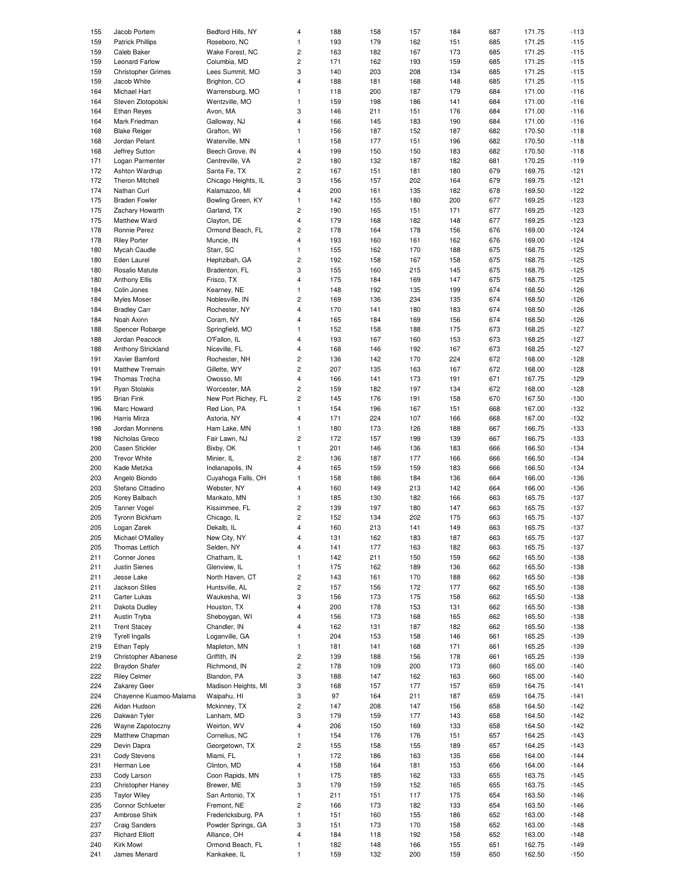| 155                                                                       | Jacob Portem                     | Bedford Hills, NY                | 4              | 188        | 158        | 157        | 184        | 687        | 171.75           | $-113$           |
|---------------------------------------------------------------------------|----------------------------------|----------------------------------|----------------|------------|------------|------------|------------|------------|------------------|------------------|
|                                                                           |                                  |                                  |                |            |            |            |            |            |                  |                  |
| 159                                                                       | <b>Patrick Phillips</b>          | Roseboro, NC                     | 1              | 193        | 179        | 162        | 151        | 685        | 171.25           | $-115$           |
| 159                                                                       | Caleb Baker                      | Wake Forest, NC                  | 2              | 163        | 182        | 167        | 173        | 685        | 171.25           | $-115$           |
| 159                                                                       | Leonard Farlow                   | Columbia, MD                     | 2              | 171        | 162        | 193        | 159        | 685        | 171.25           | $-115$           |
|                                                                           |                                  |                                  |                |            |            |            |            |            |                  |                  |
| 159                                                                       | <b>Christopher Grimes</b>        | Lees Summit, MO                  | 3              | 140        | 203        | 208        | 134        | 685        | 171.25           | $-115$           |
| 159                                                                       | Jacob White                      | Brighton, CO                     | 4              | 188        | 181        | 168        | 148        | 685        | 171.25           | $-115$           |
| 164                                                                       | Michael Hart                     | Warrensburg, MO                  | 1              | 118        | 200        | 187        | 179        | 684        | 171.00           | $-116$           |
|                                                                           |                                  |                                  |                |            |            |            |            |            |                  |                  |
| 164                                                                       | Steven Zlotopolski               | Wentzville, MO                   | 1              | 159        | 198        | 186        | 141        | 684        | 171.00           | $-116$           |
| 164                                                                       | <b>Ethan Reyes</b>               | Avon, MA                         | 3              | 146        | 211        | 151        | 176        | 684        | 171.00           | $-116$           |
| 164                                                                       | Mark Friedman                    | Galloway, NJ                     | 4              | 166        | 145        | 183        | 190        | 684        | 171.00           | $-116$           |
|                                                                           |                                  |                                  |                |            |            |            |            |            |                  |                  |
| 168                                                                       | <b>Blake Reiger</b>              | Grafton, WI                      | 1              | 156        | 187        | 152        | 187        | 682        | 170.50           | $-118$           |
| 168                                                                       | Jordan Pelant                    | Waterville, MN                   | 1              | 158        | 177        | 151        | 196        | 682        | 170.50           | $-118$           |
|                                                                           |                                  |                                  |                |            |            |            |            |            |                  |                  |
| 168                                                                       | Jeffrey Sutton                   | Beech Grove, IN                  | 4              | 199        | 150        | 150        | 183        | 682        | 170.50           | $-118$           |
| 171                                                                       | Logan Parmenter                  | Centreville, VA                  | 2              | 180        | 132        | 187        | 182        | 681        | 170.25           | $-119$           |
| 172                                                                       | Ashton Wardrup                   | Santa Fe, TX                     | $\overline{c}$ | 167        | 151        | 181        | 180        | 679        | 169.75           | $-121$           |
|                                                                           |                                  |                                  |                |            |            |            |            |            |                  |                  |
| 172                                                                       | Theron Mitchell                  | Chicago Heights, IL              | 3              | 156        | 157        | 202        | 164        | 679        | 169.75           | $-121$           |
| 174                                                                       | Nathan Curl                      | Kalamazoo, MI                    | 4              | 200        | 161        | 135        | 182        | 678        | 169.50           | $-122$           |
| 175                                                                       | <b>Braden Fowler</b>             | Bowling Green, KY                | $\mathbf{1}$   | 142        | 155        | 180        | 200        | 677        | 169.25           | $-123$           |
|                                                                           |                                  |                                  |                |            |            |            |            |            |                  |                  |
| 175                                                                       | Zachary Howarth                  | Garland, TX                      | 2              | 190        | 165        | 151        | 171        | 677        | 169.25           | $-123$           |
| 175                                                                       | Matthew Ward                     | Clayton, DE                      | 4              | 179        | 168        | 182        | 148        | 677        | 169.25           | $-123$           |
| 178                                                                       | Ronnie Perez                     | Ormond Beach, FL                 | 2              | 178        | 164        | 178        | 156        | 676        | 169.00           | $-124$           |
|                                                                           |                                  |                                  |                |            |            |            |            |            |                  |                  |
| 178                                                                       | <b>Riley Porter</b>              | Muncie, IN                       | 4              | 193        | 160        | 161        | 162        | 676        | 169.00           | $-124$           |
| 180                                                                       | Mycah Caudle                     | Starr, SC                        | $\mathbf{1}$   | 155        | 162        | 170        | 188        | 675        | 168.75           | $-125$           |
| 180                                                                       | Eden Laurel                      | Hephzibah, GA                    | 2              | 192        | 158        | 167        | 158        | 675        | 168.75           | $-125$           |
|                                                                           |                                  |                                  |                |            |            |            |            |            |                  |                  |
| 180                                                                       | Rosalio Matute                   | Bradenton, FL                    | 3              | 155        | 160        | 215        | 145        | 675        | 168.75           | $-125$           |
| 180                                                                       | <b>Anthony Ellis</b>             | Frisco, TX                       | 4              | 175        | 184        | 169        | 147        | 675        | 168.75           | $-125$           |
| 184                                                                       |                                  |                                  |                | 148        |            |            |            | 674        |                  |                  |
|                                                                           | Colin Jones                      | Kearney, NE                      | 1              |            | 192        | 135        | 199        |            | 168.50           | $-126$           |
| 184                                                                       | <b>Myles Moser</b>               | Noblesville, IN                  | 2              | 169        | 136        | 234        | 135        | 674        | 168.50           | $-126$           |
| 184                                                                       | <b>Bradley Carr</b>              | Rochester, NY                    | 4              | 170        | 141        | 180        | 183        | 674        | 168.50           | $-126$           |
|                                                                           |                                  |                                  |                |            |            |            |            |            |                  |                  |
| 184                                                                       | Noah Axinn                       | Coram, NY                        | 4              | 165        | 184        | 169        | 156        | 674        | 168.50           | $-126$           |
| 188                                                                       | Spencer Robarge                  | Springfield, MO                  | 1              | 152        | 158        | 188        | 175        | 673        | 168.25           | $-127$           |
| 188                                                                       | Jordan Peacock                   | O'Fallon, IL                     | 4              | 193        | 167        | 160        | 153        | 673        | 168.25           | $-127$           |
|                                                                           |                                  |                                  |                |            |            |            |            |            |                  |                  |
| 188                                                                       | Anthony Strickland               | Niceville, FL                    | 4              | 168        | 146        | 192        | 167        | 673        | 168.25           | $-127$           |
| 191                                                                       | Xavier Bamford                   | Rochester, NH                    | 2              | 136        | 142        | 170        | 224        | 672        | 168.00           | $-128$           |
| 191                                                                       | Matthew Tremain                  | Gillette, WY                     | 2              | 207        | 135        | 163        | 167        | 672        | 168.00           | $-128$           |
|                                                                           |                                  |                                  |                |            |            |            |            |            |                  |                  |
| 194                                                                       | Thomas Trecha                    | Owosso, MI                       | 4              | 166        | 141        | 173        | 191        | 671        | 167.75           | $-129$           |
| 191                                                                       | Ryan Stolakis                    | Worcester, MA                    | 2              | 159        | 182        | 197        | 134        | 672        | 168.00           | $-128$           |
| 195                                                                       | <b>Brian Fink</b>                | New Port Richey, FL              | 2              | 145        | 176        | 191        | 158        | 670        | 167.50           | $-130$           |
|                                                                           |                                  |                                  |                |            |            |            |            |            |                  |                  |
| 196                                                                       | Marc Howard                      | Red Lion, PA                     | 1              | 154        | 196        | 167        | 151        | 668        | 167.00           | $-132$           |
| 196                                                                       | Harris Mirza                     | Astoria, NY                      | 4              | 171        | 224        | 107        | 166        | 668        | 167.00           | $-132$           |
| 198                                                                       |                                  |                                  | 1              | 180        | 173        | 126        | 188        | 667        | 166.75           | $-133$           |
|                                                                           | Jordan Monnens                   | Ham Lake, MN                     |                |            |            |            |            |            |                  |                  |
| 198                                                                       | Nicholas Greco                   | Fair Lawn, NJ                    | 2              | 172        | 157        | 199        | 139        | 667        | 166.75           | $-133$           |
| 200                                                                       | <b>Casen Stickler</b>            | Bixby, OK                        | $\mathbf{1}$   | 201        | 146        | 136        | 183        | 666        | 166.50           | $-134$           |
|                                                                           |                                  |                                  |                |            |            |            |            |            |                  |                  |
| 200                                                                       | <b>Trevor White</b>              | Minier, IL                       | $\overline{c}$ | 136        | 187        | 177        | 166        | 666        | 166.50           | $-134$           |
| 200                                                                       | Kade Metzka                      | Indianapolis, IN                 | 4              | 165        | 159        | 159        | 183        | 666        | 166.50           | $-134$           |
| 203                                                                       | Angelo Biondo                    | Cuyahoga Falls, OH               | 1              | 158        | 186        | 184        | 136        | 664        | 166.00           | $-136$           |
|                                                                           |                                  |                                  |                |            |            |            |            |            |                  |                  |
| 203                                                                       | Stefano Cittadino                | Webster, NY                      | 4              | 160        | 149        | 213        | 142        | 664        | 166.00           | $-136$           |
| 205                                                                       | Korey Balbach                    | Mankato, MN                      | 1              | 185        | 130        | 182        | 166        | 663        | 165.75           | $-137$           |
| 205                                                                       | <b>Tanner Vogel</b>              | Kissimmee, FL                    | 2              | 139        | 197        | 180        | 147        | 663        | 165.75           | $-137$           |
|                                                                           |                                  |                                  |                |            |            |            |            |            |                  |                  |
| 205                                                                       | Tyronn Bickham                   | Chicago, IL                      | 2              | 152        | 134        | 202        | 175        | 663        | 165.75           | $-137$           |
| 205                                                                       | Logan Zarek                      | Dekalb, IL                       | 4              | 160        | 213        | 141        | 149        | 663        | 165.75           | $-137$           |
|                                                                           |                                  |                                  |                |            |            |            |            |            |                  |                  |
| 205                                                                       | Michael O'Malley                 | New City, NY                     | 4              | 131        | 162        | 183        | 187        | 663        | 165.75           | -137             |
| 205                                                                       | Thomas Lettich                   | Selden, NY                       | 4              | 141        | 177        | 163        | 182        | 663        | 165.75           | $-137$           |
| 211                                                                       | Conner Jones                     | Chatham, IL                      | 1              | 142        | 211        | 150        | 159        | 662        | 165.50           | $-138$           |
|                                                                           |                                  |                                  |                |            |            |            |            |            |                  |                  |
| 211                                                                       | Justin Sienes                    | Glenview, IL                     | 1              | 175        | 162        | 189        | 136        | 662        | 165.50           | $-138$           |
| 211                                                                       | Jesse Lake                       | North Haven, CT                  | 2              | 143        | 161        | 170        | 188        | 662        | 165.50           | $-138$           |
| 211                                                                       | Jackson Stiles                   | Huntsville, AL                   | 2              | 157        | 156        | 172        | 177        | 662        | 165.50           | $-138$           |
|                                                                           |                                  | Waukesha, WI                     |                |            |            |            |            |            |                  |                  |
| 211                                                                       | Carter Lukas                     |                                  | 3              | 156        | 173        | 175        | 158        | 662        | 165.50           | $-138$           |
| 211                                                                       | Dakota Dudley                    | Houston, TX                      | 4              | 200        | 178        | 153        | 131        | 662        | 165.50           | $-138$           |
| 211                                                                       | Austin Tryba                     | Sheboygan, WI                    | 4              | 156        | 173        | 168        | 165        | 662        | 165.50           | $-138$           |
|                                                                           |                                  |                                  |                |            |            |            |            |            |                  |                  |
| 211                                                                       | <b>Trent Stacey</b>              | Chandler, IN                     | 4              | 162        | 131        | 187        | 182        | 662        | 165.50           | $-138$           |
| 219                                                                       | <b>Tyrell Ingalls</b>            | Loganville, GA                   | 1              | 204        | 153        | 158        | 146        | 661        | 165.25           | $-139$           |
| 219                                                                       | <b>Ethan Teply</b>               | Mapleton, MN                     | 1              | 181        | 141        | 168        | 171        | 661        | 165.25           | $-139$           |
|                                                                           |                                  |                                  |                |            |            |            |            |            |                  |                  |
| 219                                                                       | Christopher Albanese             | Griffith, IN                     | 2              | 139        | 188        | 156        | 178        | 661        | 165.25           | $-139$           |
| 222                                                                       | <b>Braydon Shafer</b>            | Richmond, IN                     | 2              | 178        | 109        | 200        | 173        | 660        | 165.00           | $-140$           |
| 222                                                                       | <b>Riley Celmer</b>              | Blandon, PA                      | 3              | 188        | 147        | 162        | 163        | 660        | 165.00           | $-140$           |
|                                                                           |                                  |                                  |                |            |            |            |            |            |                  |                  |
| 224                                                                       | Zakarey Geer                     | Madison Heights, MI              | 3              | 168        | 157        | 177        | 157        | 659        | 164.75           | $-141$           |
| 224                                                                       | Chayenne Kuamoo-Malama           | Waipahu, HI                      | 3              | 97         | 164        | 211        | 187        | 659        | 164.75           | $-141$           |
| 226                                                                       |                                  |                                  | 2              |            |            |            |            |            |                  |                  |
|                                                                           | Aidan Hudson                     | Mckinney, TX                     |                | 147        | 208        | 147        | 156        | 658        | 164.50           | $-142$           |
| 226                                                                       | Dakwan Tyler                     | Lanham, MD                       | 3              | 179        | 159        | 177        | 143        | 658        | 164.50           | $-142$           |
| 226                                                                       | Wayne Zapotoczny                 | Weirton, WV                      | 4              | 206        | 150        | 169        | 133        | 658        | 164.50           | $-142$           |
|                                                                           |                                  |                                  |                |            |            |            |            |            |                  |                  |
| 229                                                                       | Matthew Chapman                  | Cornelius, NC                    | 1              | 154        | 176        | 176        | 151        | 657        | 164.25           | $-143$           |
| 229                                                                       |                                  | Georgetown, TX                   | 2              | 155        | 158        | 155        | 189        | 657        | 164.25           | $-143$           |
|                                                                           | Devin Dapra                      |                                  |                | 172        | 186        | 163        | 135        | 656        | 164.00           | $-144$           |
|                                                                           |                                  |                                  |                |            |            |            |            |            |                  |                  |
|                                                                           | <b>Cody Stevens</b>              | Miami, FL                        | 1              |            |            |            |            |            |                  |                  |
|                                                                           | Herman Lee                       | Clinton, MD                      | 4              | 158        | 164        | 181        | 153        | 656        | 164.00           | $-144$           |
|                                                                           | Cody Larson                      | Coon Rapids, MN                  | 1              | 175        | 185        | 162        | 133        | 655        | 163.75           | $-145$           |
|                                                                           |                                  |                                  |                |            |            |            |            |            |                  |                  |
|                                                                           | Christopher Haney                | Brewer, ME                       | 3              | 179        | 159        | 152        | 165        | 655        | 163.75           | $-145$           |
|                                                                           | <b>Taylor Wiley</b>              | San Antonio, TX                  | 1              | 211        | 151        | 117        | 175        | 654        | 163.50           | $-146$           |
|                                                                           | Connor Schlueter                 | Fremont, NE                      | 2              | 166        | 173        | 182        | 133        | 654        | 163.50           | $-146$           |
|                                                                           |                                  |                                  |                |            |            |            |            |            |                  |                  |
|                                                                           | Ambrose Shirk                    | Fredericksburg, PA               | 1              | 151        | 160        | 155        | 186        | 652        | 163.00           | $-148$           |
|                                                                           | <b>Craig Sanders</b>             | Powder Springs, GA               | 3              | 151        | 173        | 170        | 158        | 652        | 163.00           | $-148$           |
|                                                                           | <b>Richard Elliott</b>           | Alliance, OH                     | 4              | 184        | 118        | 192        | 158        | 652        | 163.00           | $-148$           |
|                                                                           |                                  |                                  |                |            |            |            |            |            |                  |                  |
| 231<br>231<br>233<br>233<br>235<br>235<br>237<br>237<br>237<br>240<br>241 | <b>Kirk Mowl</b><br>James Menard | Ormond Beach, FL<br>Kankakee, IL | 1<br>1         | 182<br>159 | 148<br>132 | 166<br>200 | 155<br>159 | 651<br>650 | 162.75<br>162.50 | $-149$<br>$-150$ |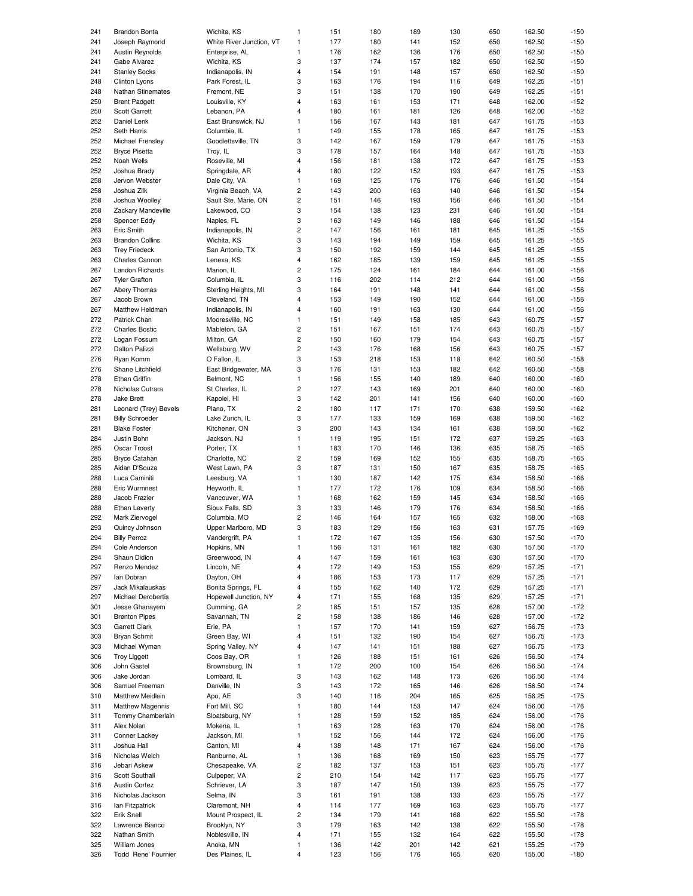| 241        | <b>Brandon Bonta</b>     | Wichita, KS                  | $\mathbf{1}$            | 151        | 180 | 189 | 130 | 650 | 162.50 | $-150$           |
|------------|--------------------------|------------------------------|-------------------------|------------|-----|-----|-----|-----|--------|------------------|
| 241        |                          | White River Junction, VT     | 1                       | 177        | 180 | 141 | 152 | 650 | 162.50 | $-150$           |
|            | Joseph Raymond           |                              |                         |            |     |     |     |     |        |                  |
| 241        | Austin Reynolds          | Enterprise, AL               | 1                       | 176        | 162 | 136 | 176 | 650 | 162.50 | $-150$           |
| 241        | Gabe Alvarez             | Wichita, KS                  | 3                       | 137        | 174 | 157 | 182 | 650 | 162.50 | $-150$           |
| 241        | <b>Stanley Socks</b>     | Indianapolis, IN             | 4                       | 154        | 191 | 148 | 157 | 650 | 162.50 | $-150$           |
|            |                          |                              |                         |            |     |     |     |     |        |                  |
| 248        | Clinton Lyons            | Park Forest, IL              | 3                       | 163        | 176 | 194 | 116 | 649 | 162.25 | $-151$           |
| 248        | <b>Nathan Stinemates</b> | Fremont, NE                  | 3                       | 151        | 138 | 170 | 190 | 649 | 162.25 | $-151$           |
| 250        | <b>Brent Padgett</b>     | Louisville, KY               | 4                       | 163        | 161 | 153 | 171 | 648 | 162.00 | $-152$           |
| 250        | Scott Garrett            | Lebanon, PA                  | 4                       | 180        | 161 | 181 | 126 | 648 | 162.00 | $-152$           |
|            |                          |                              |                         |            |     |     |     |     |        |                  |
| 252        | Daniel Lenk              | East Brunswick, NJ           | 1                       | 156        | 167 | 143 | 181 | 647 | 161.75 | $-153$           |
| 252        | Seth Harris              | Columbia, IL                 | $\mathbf{1}$            | 149        | 155 | 178 | 165 | 647 | 161.75 | $-153$           |
|            |                          |                              |                         |            |     |     |     |     |        |                  |
| 252        | Michael Frensley         | Goodlettsville, TN           | 3                       | 142        | 167 | 159 | 179 | 647 | 161.75 | $-153$           |
| 252        | <b>Bryce Pisetta</b>     | Troy, IL                     | 3                       | 178        | 157 | 164 | 148 | 647 | 161.75 | $-153$           |
| 252        | Noah Wells               | Roseville, MI                | 4                       | 156        | 181 | 138 | 172 | 647 | 161.75 | $-153$           |
|            | Joshua Brady             |                              | 4                       |            |     |     |     |     |        |                  |
| 252        |                          | Springdale, AR               |                         | 180        | 122 | 152 | 193 | 647 | 161.75 | $-153$           |
| 258        | Jervon Webster           | Dale City, VA                | $\mathbf{1}$            | 169        | 125 | 176 | 176 | 646 | 161.50 | $-154$           |
| 258        | Joshua Zilk              | Virginia Beach, VA           | $\overline{\mathbf{c}}$ | 143        | 200 | 163 | 140 | 646 | 161.50 | $-154$           |
| 258        |                          |                              | $\overline{\mathbf{c}}$ |            |     | 193 | 156 | 646 | 161.50 | $-154$           |
|            | Joshua Woolley           | Sault Ste. Marie, ON         |                         | 151        | 146 |     |     |     |        |                  |
| 258        | Zackary Mandeville       | Lakewood, CO                 | 3                       | 154        | 138 | 123 | 231 | 646 | 161.50 | $-154$           |
| 258        | Spencer Eddy             | Naples, FL                   | 3                       | 163        | 149 | 146 | 188 | 646 | 161.50 | $-154$           |
| 263        | Eric Smith               | Indianapolis, IN             | 2                       | 147        | 156 | 161 | 181 | 645 | 161.25 | $-155$           |
|            |                          |                              |                         |            |     |     |     |     |        |                  |
| 263        | <b>Brandon Collins</b>   | Wichita, KS                  | 3                       | 143        | 194 | 149 | 159 | 645 | 161.25 | $-155$           |
| 263        | <b>Trey Friedeck</b>     | San Antonio, TX              | 3                       | 150        | 192 | 159 | 144 | 645 | 161.25 | $-155$           |
| 263        | Charles Cannon           | Lenexa, KS                   | 4                       | 162        | 185 | 139 | 159 | 645 | 161.25 | $-155$           |
|            |                          |                              |                         |            |     |     |     |     |        |                  |
| 267        | <b>Landon Richards</b>   | Marion, IL                   | 2                       | 175        | 124 | 161 | 184 | 644 | 161.00 | $-156$           |
| 267        | <b>Tyler Grafton</b>     | Columbia, IL                 | 3                       | 116        | 202 | 114 | 212 | 644 | 161.00 | $-156$           |
| 267        |                          |                              | 3                       |            | 191 | 148 |     | 644 | 161.00 | $-156$           |
|            | Abery Thomas             | Sterling Heights, MI         |                         | 164        |     |     | 141 |     |        |                  |
| 267        | Jacob Brown              | Cleveland, TN                | 4                       | 153        | 149 | 190 | 152 | 644 | 161.00 | $-156$           |
| 267        | Matthew Heldman          | Indianapolis, IN             | 4                       | 160        | 191 | 163 | 130 | 644 | 161.00 | $-156$           |
|            |                          |                              |                         |            |     |     |     |     |        |                  |
| 272        | Patrick Chan             | Mooresville, NC              | 1                       | 151        | 149 | 158 | 185 | 643 | 160.75 | $-157$           |
| 272        | <b>Charles Bostic</b>    | Mableton, GA                 | $\overline{c}$          | 151        | 167 | 151 | 174 | 643 | 160.75 | $-157$           |
| 272        | Logan Fossum             | Milton, GA                   | $\overline{c}$          | 150        | 160 | 179 | 154 | 643 | 160.75 | $-157$           |
|            |                          |                              |                         |            |     |     |     |     |        |                  |
| 272        | Dalton Palizzi           | Wellsburg, WV                | $\overline{c}$          | 143        | 176 | 168 | 156 | 643 | 160.75 | $-157$           |
| 276        | Ryan Komm                | O Fallon, IL                 | 3                       | 153        | 218 | 153 | 118 | 642 | 160.50 | $-158$           |
| 276        | Shane Litchfield         | East Bridgewater, MA         | 3                       | 176        | 131 | 153 | 182 | 642 | 160.50 | $-158$           |
|            |                          |                              |                         |            |     |     |     |     |        |                  |
| 278        | <b>Ethan Griffin</b>     | Belmont, NC                  | 1                       | 156        | 155 | 140 | 189 | 640 | 160.00 | $-160$           |
| 278        | Nicholas Cutrara         | St Charles, IL               | $\overline{c}$          | 127        | 143 | 169 | 201 | 640 | 160.00 | $-160$           |
| 278        | <b>Jake Brett</b>        | Kapolei, HI                  | 3                       | 142        | 201 | 141 | 156 | 640 | 160.00 | $-160$           |
|            |                          |                              |                         |            |     |     |     |     |        |                  |
| 281        | Leonard (Trey) Bevels    | Plano, TX                    | $\overline{c}$          | 180        | 117 | 171 | 170 | 638 | 159.50 | $-162$           |
| 281        | <b>Billy Schroeder</b>   | Lake Zurich, IL              | 3                       | 177        | 133 | 159 | 169 | 638 | 159.50 | $-162$           |
| 281        | <b>Blake Foster</b>      | Kitchener, ON                | 3                       | 200        | 143 | 134 | 161 | 638 | 159.50 | $-162$           |
| 284        | Justin Bohn              |                              | $\mathbf{1}$            |            |     |     |     |     |        | $-163$           |
|            |                          | Jackson, NJ                  |                         | 119        | 195 | 151 | 172 | 637 | 159.25 |                  |
| 285        | Oscar Troost             | Porter, TX                   | 1                       | 183        | 170 | 146 | 136 | 635 | 158.75 | $-165$           |
| 285        | <b>Bryce Catahan</b>     | Charlotte, NC                | $\overline{c}$          | 159        | 169 | 152 | 155 | 635 | 158.75 | $-165$           |
| 285        | Aidan D'Souza            |                              | 3                       |            |     |     |     | 635 |        | $-165$           |
|            |                          | West Lawn, PA                |                         | 187        | 131 | 150 | 167 |     | 158.75 |                  |
| 288        | Luca Caminiti            | Leesburg, VA                 | 1                       | 130        | 187 | 142 | 175 | 634 | 158.50 | $-166$           |
| 288        | Eric Wurmnest            | Heyworth, IL                 | 1                       | 177        | 172 | 176 | 109 | 634 | 158.50 | $-166$           |
|            |                          |                              |                         |            |     |     |     |     |        |                  |
| 288        | Jacob Frazier            | Vancouver, WA                | $\mathbf{1}$            | 168        | 162 | 159 | 145 | 634 | 158.50 | $-166$           |
| 288        | <b>Ethan Laverty</b>     | Sioux Falls, SD              | 3                       | 133        | 146 | 179 | 176 | 634 | 158.50 | $-166$           |
| 292        | Mark Ziervogel           | Columbia, MO                 | $\overline{c}$          | 146        | 164 | 157 | 165 | 632 | 158.00 | $-168$           |
|            |                          |                              |                         |            |     |     |     |     |        |                  |
| 293        | Quincy Johnson           | Upper Marlboro, MD           | 3                       | 183        | 129 | 156 | 163 | 631 | 157.75 | $-169$           |
| 294        | <b>Billy Perroz</b>      | Vandergrift, PA              |                         | 172        | 167 | 135 | 156 | 630 | 157.50 | -170             |
| 294        | Cole Anderson            | Hopkins, MN                  | 1                       | 156        | 131 | 161 | 182 | 630 | 157.50 | $-170$           |
|            |                          |                              |                         |            |     |     |     |     |        |                  |
| 294        | Shaun Didion             | Greenwood, IN                | 4                       | 147        | 159 | 161 | 163 | 630 | 157.50 | $-170$           |
| 297        | Renzo Mendez             | Lincoln, NE                  | 4                       | 172        | 149 | 153 | 155 | 629 | 157.25 | $-171$           |
| 297        | lan Dobran               | Dayton, OH                   | 4                       | 186        | 153 | 173 | 117 | 629 | 157.25 | $-171$           |
| 297        | Jack Mikalauskas         | Bonita Springs, FL           | 4                       |            |     |     |     |     |        | $-171$           |
|            |                          |                              |                         | 155        | 162 | 140 | 172 | 629 | 157.25 |                  |
| 297        | Michael Derobertis       | Hopewell Junction, NY        | 4                       | 171        | 155 | 168 | 135 | 629 | 157.25 | $-171$           |
| 301        | Jesse Ghanayem           | Cumming, GA                  | 2                       | 185        | 151 | 157 | 135 | 628 | 157.00 | $-172$           |
| 301        | <b>Brenton Pipes</b>     | Savannah, TN                 | 2                       | 158        | 138 | 186 | 146 | 628 | 157.00 | $-172$           |
|            |                          |                              |                         |            |     |     |     |     |        |                  |
| 303        | Garrett Clark            | Erie, PA                     | 1                       | 157        | 170 | 141 | 159 | 627 | 156.75 | $-173$           |
| 303        | <b>Bryan Schmit</b>      | Green Bay, WI                | 4                       | 151        | 132 | 190 | 154 | 627 | 156.75 | $-173$           |
| 303        | Michael Wyman            | Spring Valley, NY            | 4                       | 147        | 141 | 151 | 188 | 627 | 156.75 | $-173$           |
|            |                          |                              |                         |            |     |     |     |     |        |                  |
| 306        | <b>Troy Liggett</b>      | Coos Bay, OR                 | 1                       | 126        | 188 | 151 | 161 | 626 | 156.50 | $-174$           |
| 306        | John Gastel              | Brownsburg, IN               | 1                       | 172        | 200 | 100 | 154 | 626 | 156.50 | $-174$           |
| 306        | Jake Jordan              | Lombard, IL                  | 3                       | 143        | 162 | 148 | 173 | 626 | 156.50 | $-174$           |
|            |                          |                              |                         |            |     |     |     |     |        |                  |
| 306        | Samuel Freeman           | Danville, IN                 | 3                       | 143        | 172 | 165 | 146 | 626 | 156.50 | $-174$           |
| 310        | Matthew Meidlein         | Apo, AE                      | 3                       | 140        | 116 | 204 | 165 | 625 | 156.25 | $-175$           |
| 311        | <b>Matthew Magennis</b>  | Fort Mill, SC                | 1                       | 180        | 144 | 153 | 147 | 624 | 156.00 | $-176$           |
|            |                          |                              |                         |            |     |     |     |     |        |                  |
| 311        | Tommy Chamberlain        | Sloatsburg, NY               | 1                       | 128        | 159 | 152 | 185 | 624 | 156.00 | $-176$           |
| 311        | Alex Nolan               | Mokena, IL                   | 1                       | 163        | 128 | 163 | 170 | 624 | 156.00 | $-176$           |
| 311        | Conner Lackey            | Jackson, MI                  | 1                       | 152        | 156 | 144 | 172 | 624 | 156.00 | $-176$           |
|            |                          |                              |                         |            |     |     |     |     |        |                  |
| 311        | Joshua Hall              | Canton, MI                   | 4                       | 138        | 148 | 171 | 167 | 624 | 156.00 | $-176$           |
| 316        | Nicholas Welch           | Ranburne, AL                 | 1                       | 136        | 168 | 169 | 150 | 623 | 155.75 | $-177$           |
| 316        | Jebari Askew             | Chesapeake, VA               | 2                       | 182        | 137 | 153 | 151 | 623 | 155.75 | $-177$           |
|            |                          |                              |                         |            |     |     |     |     |        |                  |
| 316        | Scott Southall           | Culpeper, VA                 | 2                       | 210        | 154 | 142 | 117 | 623 | 155.75 | $-177$           |
| 316        | <b>Austin Cortez</b>     | Schriever, LA                | 3                       | 187        | 147 | 150 | 139 | 623 | 155.75 | $-177$           |
| 316        | Nicholas Jackson         | Selma, IN                    | 3                       | 161        | 191 | 138 | 133 | 623 | 155.75 | $-177$           |
|            |                          |                              |                         |            |     |     |     |     |        |                  |
| 316        | lan Fitzpatrick          | Claremont, NH                | 4                       | 114        | 177 | 169 | 163 | 623 | 155.75 | $-177$           |
| 322        |                          |                              |                         |            |     |     |     |     |        | $-178$           |
|            | Erik Snell               | Mount Prospect, IL           | 2                       | 134        | 179 | 141 | 168 | 622 | 155.50 |                  |
|            |                          |                              |                         |            |     |     |     |     |        |                  |
| 322        | Lawrence Bianco          | Brooklyn, NY                 | 3                       | 179        | 163 | 142 | 138 | 622 | 155.50 | $-178$           |
| 322        | Nathan Smith             | Noblesville, IN              | 4                       | 171        | 155 | 132 | 164 | 622 | 155.50 | $-178$           |
| 325<br>326 | William Jones            | Anoka, MN<br>Des Plaines, IL | 1                       | 136<br>123 | 142 | 201 | 142 | 621 | 155.25 | $-179$<br>$-180$ |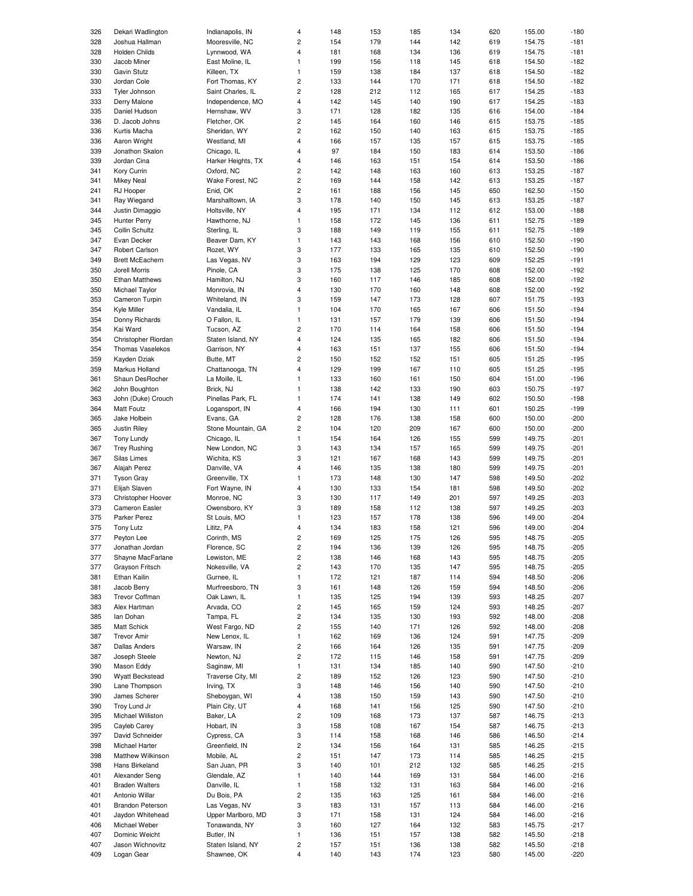| 326 | Dekari Wadlington      | Indianapolis, IN   | 4                       | 148 | 153 | 185 | 134 | 620 | 155.00 | $-180$           |
|-----|------------------------|--------------------|-------------------------|-----|-----|-----|-----|-----|--------|------------------|
|     |                        |                    |                         |     |     |     |     |     |        |                  |
| 328 | Joshua Hallman         | Mooresville, NC    | $\overline{\mathbf{c}}$ | 154 | 179 | 144 | 142 | 619 | 154.75 | $-181$           |
| 328 | <b>Holden Childs</b>   | Lynnwood, WA       | 4                       | 181 | 168 | 134 | 136 | 619 | 154.75 | $-181$           |
| 330 | Jacob Miner            | East Moline, IL    | 1                       | 199 | 156 | 118 | 145 | 618 | 154.50 | $-182$           |
| 330 | Gavin Stutz            | Killeen, TX        | $\mathbf{1}$            |     | 138 | 184 | 137 | 618 | 154.50 | $-182$           |
|     |                        |                    |                         | 159 |     |     |     |     |        |                  |
| 330 | Jordan Cole            | Fort Thomas, KY    | $\overline{c}$          | 133 | 144 | 170 | 171 | 618 | 154.50 | $-182$           |
| 333 | Tyler Johnson          | Saint Charles, IL  | $\overline{c}$          | 128 | 212 | 112 | 165 | 617 | 154.25 | $-183$           |
| 333 | Derry Malone           | Independence, MO   | 4                       | 142 | 145 | 140 | 190 | 617 | 154.25 | $-183$           |
|     |                        |                    |                         |     |     |     |     |     |        |                  |
| 335 | Daniel Hudson          | Hernshaw, WV       | 3                       | 171 | 128 | 182 | 135 | 616 | 154.00 | $-184$           |
| 336 | D. Jacob Johns         | Fletcher, OK       | $\overline{\mathbf{c}}$ | 145 | 164 | 160 | 146 | 615 | 153.75 | $-185$           |
| 336 | Kurtis Macha           | Sheridan, WY       | $\overline{c}$          | 162 | 150 | 140 | 163 | 615 | 153.75 | $-185$           |
|     |                        |                    |                         |     |     |     |     |     |        |                  |
| 336 | Aaron Wright           | Westland, MI       | 4                       | 166 | 157 | 135 | 157 | 615 | 153.75 | $-185$           |
| 339 | Jonathon Skalon        | Chicago, IL        | 4                       | 97  | 184 | 150 | 183 | 614 | 153.50 | $-186$           |
| 339 | Jordan Cina            | Harker Heights, TX | 4                       | 146 | 163 | 151 | 154 | 614 | 153.50 | $-186$           |
|     |                        |                    |                         |     |     |     |     |     |        |                  |
| 341 | Kory Currin            | Oxford, NC         | 2                       | 142 | 148 | 163 | 160 | 613 | 153.25 | $-187$           |
| 341 | <b>Mikey Neal</b>      | Wake Forest, NC    | 2                       | 169 | 144 | 158 | 142 | 613 | 153.25 | $-187$           |
| 241 | RJ Hooper              | Enid, OK           | $\overline{c}$          | 161 | 188 | 156 | 145 | 650 | 162.50 | $-150$           |
|     |                        |                    |                         |     |     |     |     |     |        |                  |
| 341 | Ray Wiegand            | Marshalltown, IA   | 3                       | 178 | 140 | 150 | 145 | 613 | 153.25 | $-187$           |
| 344 | Justin Dimaggio        | Holtsville, NY     | 4                       | 195 | 171 | 134 | 112 | 612 | 153.00 | $-188$           |
| 345 | Hunter Perry           | Hawthorne, NJ      | $\mathbf{1}$            | 158 | 172 | 145 | 136 | 611 | 152.75 | $-189$           |
|     |                        |                    |                         |     |     |     |     |     |        |                  |
| 345 | Collin Schultz         | Sterling, IL       | 3                       | 188 | 149 | 119 | 155 | 611 | 152.75 | $-189$           |
| 347 | Evan Decker            | Beaver Dam, KY     | $\mathbf{1}$            | 143 | 143 | 168 | 156 | 610 | 152.50 | $-190$           |
| 347 | Robert Carlson         | Rozet, WY          | 3                       | 177 | 133 | 165 | 135 | 610 | 152.50 | $-190$           |
|     | <b>Brett McEachern</b> |                    | 3                       |     |     |     |     |     |        |                  |
| 349 |                        | Las Vegas, NV      |                         | 163 | 194 | 129 | 123 | 609 | 152.25 | $-191$           |
| 350 | Jorell Morris          | Pinole, CA         | 3                       | 175 | 138 | 125 | 170 | 608 | 152.00 | $-192$           |
| 350 | <b>Ethan Matthews</b>  | Hamilton, NJ       | 3                       | 160 | 117 | 146 | 185 | 608 | 152.00 | $-192$           |
| 350 |                        | Monrovia, IN       | 4                       |     | 170 | 160 | 148 | 608 | 152.00 | $-192$           |
|     | Michael Taylor         |                    |                         | 130 |     |     |     |     |        |                  |
| 353 | Cameron Turpin         | Whiteland, IN      | 3                       | 159 | 147 | 173 | 128 | 607 | 151.75 | $-193$           |
| 354 | Kyle Miller            | Vandalia, IL       | $\mathbf{1}$            | 104 | 170 | 165 | 167 | 606 | 151.50 | $-194$           |
| 354 | Donny Richards         | O Fallon, IL       | $\mathbf{1}$            | 131 | 157 | 179 | 139 | 606 | 151.50 | $-194$           |
|     |                        |                    |                         |     |     |     |     |     |        |                  |
| 354 | Kai Ward               | Tucson, AZ         | $\overline{c}$          | 170 | 114 | 164 | 158 | 606 | 151.50 | $-194$           |
| 354 | Christopher Riordan    | Staten Island, NY  | 4                       | 124 | 135 | 165 | 182 | 606 | 151.50 | $-194$           |
| 354 | Thomas Vaselekos       | Garrison, NY       | 4                       | 163 | 151 | 137 | 155 | 606 | 151.50 | $-194$           |
|     |                        |                    |                         |     |     |     |     |     |        |                  |
| 359 | Kayden Dziak           | Butte, MT          | 2                       | 150 | 152 | 152 | 151 | 605 | 151.25 | $-195$           |
| 359 | Markus Holland         | Chattanooga, TN    | 4                       | 129 | 199 | 167 | 110 | 605 | 151.25 | $-195$           |
| 361 | Shaun DesRocher        | La Moille, IL      | $\mathbf{1}$            | 133 | 160 | 161 | 150 | 604 | 151.00 | $-196$           |
|     |                        |                    |                         |     |     |     |     |     |        |                  |
| 362 | John Boughton          | Brick, NJ          | $\mathbf{1}$            | 138 | 142 | 133 | 190 | 603 | 150.75 | $-197$           |
| 363 | John (Duke) Crouch     | Pinellas Park, FL  | $\mathbf{1}$            | 174 | 141 | 138 | 149 | 602 | 150.50 | $-198$           |
| 364 | Matt Foutz             | Logansport, IN     | 4                       | 166 | 194 | 130 | 111 | 601 | 150.25 | $-199$           |
|     |                        |                    |                         |     |     |     |     |     |        |                  |
| 365 | Jake Holbein           | Evans, GA          | 2                       | 128 | 176 | 138 | 158 | 600 | 150.00 | $-200$           |
| 365 | Justin Riley           | Stone Mountain, GA | $\overline{c}$          | 104 | 120 | 209 | 167 | 600 | 150.00 | $-200$           |
| 367 | Tony Lundy             | Chicago, IL        | $\mathbf{1}$            | 154 | 164 | 126 | 155 | 599 | 149.75 | $-201$           |
|     |                        |                    |                         |     |     |     |     |     |        |                  |
| 367 | <b>Trey Rushing</b>    | New London, NC     | 3                       | 143 | 134 | 157 | 165 | 599 | 149.75 | $-201$           |
| 367 | Silas Limes            | Wichita, KS        | 3                       | 121 | 167 | 168 | 143 | 599 | 149.75 | $-201$           |
| 367 | Alajah Perez           | Danville, VA       | 4                       | 146 | 135 | 138 | 180 | 599 | 149.75 | $-201$           |
|     |                        |                    |                         |     |     |     |     |     |        |                  |
| 371 | <b>Tyson Gray</b>      | Greenville, TX     | $\mathbf{1}$            | 173 | 148 | 130 | 147 | 598 | 149.50 | $-202$           |
| 371 | Elijah Slaven          | Fort Wayne, IN     | 4                       | 130 | 133 | 154 | 181 | 598 | 149.50 | $-202$           |
| 373 | Christopher Hoover     | Monroe, NC         | 3                       | 130 | 117 | 149 | 201 | 597 | 149.25 | $-203$           |
|     |                        |                    |                         |     |     |     |     |     |        |                  |
| 373 | <b>Cameron Easler</b>  | Owensboro, KY      | 3                       | 189 | 158 | 112 | 138 | 597 | 149.25 | $-203$           |
| 375 | Parker Perez           | St Louis, MO       | $\mathbf{1}$            | 123 | 157 | 178 | 138 | 596 | 149.00 | $-204$           |
| 375 | <b>Tony Lutz</b>       | Lititz, PA         | 4                       | 134 | 183 | 158 | 121 | 596 | 149.00 | $-204$           |
|     |                        |                    |                         |     |     |     |     |     |        |                  |
| 377 | Peyton Lee             | Corinth, MS        | 2                       | 169 | 125 | 175 | 126 | 595 | 148.75 | $-205$           |
| 377 | Jonathan Jordan        | Florence, SC       | 2                       | 194 | 136 | 139 | 126 | 595 | 148.75 | $-205$           |
| 377 | Shayne MacFarlane      | Lewiston, ME       | $\mathbf 2$             | 138 | 146 | 168 | 143 | 595 | 148.75 | $-205$           |
| 377 | Grayson Fritsch        | Nokesville, VA     | 2                       |     | 170 | 135 | 147 | 595 | 148.75 | $-205$           |
|     |                        |                    |                         | 143 |     |     |     |     |        |                  |
| 381 | Ethan Kailin           | Gurnee, IL         | $\mathbf{1}$            | 172 |     |     |     |     |        | $-206$           |
| 381 | Jacob Berry            | Murfreesboro, TN   |                         |     | 121 | 187 | 114 | 594 | 148.50 |                  |
| 383 | <b>Trevor Coffman</b>  |                    |                         |     |     |     |     |     |        |                  |
|     |                        |                    | 3                       | 161 | 148 | 126 | 159 | 594 | 148.50 | $-206$           |
|     |                        | Oak Lawn, IL       | $\mathbf{1}$            | 135 | 125 | 194 | 139 | 593 | 148.25 | $-207$           |
| 383 | Alex Hartman           | Arvada, CO         | 2                       | 145 | 165 | 159 | 124 | 593 | 148.25 | $-207$           |
| 385 | lan Dohan              | Tampa, FL          | $\mathbf 2$             | 134 | 135 | 130 | 193 | 592 | 148.00 | $-208$           |
|     | <b>Matt Schick</b>     | West Fargo, ND     |                         |     |     |     |     |     |        |                  |
| 385 |                        |                    | 2                       | 155 | 140 | 171 | 126 | 592 | 148.00 | $-208$           |
| 387 | <b>Trevor Amir</b>     | New Lenox, IL      | $\mathbf{1}$            | 162 | 169 | 136 | 124 | 591 | 147.75 | $-209$           |
| 387 | <b>Dallas Anders</b>   | Warsaw, IN         | 2                       | 166 | 164 | 126 | 135 | 591 | 147.75 | $-209$           |
|     |                        |                    |                         |     |     |     |     |     |        |                  |
| 387 | Joseph Steele          | Newton, NJ         | 2                       | 172 | 115 | 146 | 158 | 591 | 147.75 | $-209$           |
| 390 | Mason Eddy             | Saginaw, MI        | $\mathbf{1}$            | 131 | 134 | 185 | 140 | 590 | 147.50 | $-210$           |
| 390 | <b>Wyatt Beckstead</b> | Traverse City, MI  | 2                       | 189 | 152 | 126 | 123 | 590 | 147.50 | $-210$           |
| 390 | Lane Thompson          | Irving, TX         | 3                       | 148 | 146 | 156 | 140 | 590 | 147.50 | $-210$           |
|     |                        |                    |                         |     |     |     |     |     |        |                  |
| 390 | James Scherer          | Sheboygan, WI      | 4                       | 138 | 150 | 159 | 143 | 590 | 147.50 | $-210$           |
| 390 | Troy Lund Jr           | Plain City, UT     | 4                       | 168 | 141 | 156 | 125 | 590 | 147.50 | $-210$           |
| 395 | Michael Williston      | Baker, LA          | 2                       | 109 | 168 | 173 | 137 | 587 | 146.75 | $-213$           |
|     |                        |                    |                         |     |     |     |     |     |        |                  |
| 395 | Cayleb Carey           | Hobart, IN         | 3                       | 158 | 108 | 167 | 154 | 587 | 146.75 | $-213$           |
| 397 | David Schneider        | Cypress, CA        | 3                       | 114 | 158 | 168 | 146 | 586 | 146.50 | $-214$           |
| 398 | Michael Harter         | Greenfield, IN     | 2                       | 134 | 156 | 164 | 131 | 585 | 146.25 | $-215$           |
|     |                        |                    |                         |     |     |     |     |     |        |                  |
| 398 | Matthew Wilkinson      | Mobile, AL         | 2                       | 151 | 147 | 173 | 114 | 585 | 146.25 | $-215$           |
| 398 | Hans Birkeland         | San Juan, PR       | 3                       | 140 | 101 | 212 | 132 | 585 | 146.25 | $-215$           |
| 401 | Alexander Seng         | Glendale, AZ       | 1                       | 140 | 144 | 169 | 131 | 584 | 146.00 | $-216$           |
| 401 | <b>Braden Walters</b>  | Danville, IL       | 1                       | 158 | 132 | 131 | 163 | 584 | 146.00 | $-216$           |
|     |                        |                    |                         |     |     |     |     |     |        |                  |
| 401 | Antonio Willar         | Du Bois, PA        | 2                       | 135 | 163 | 125 | 161 | 584 | 146.00 | $-216$           |
| 401 | Brandon Peterson       | Las Vegas, NV      | 3                       | 183 | 131 | 157 | 113 | 584 | 146.00 | $-216$           |
| 401 | Jaydon Whitehead       | Upper Marlboro, MD | 3                       | 171 | 158 | 131 | 124 | 584 | 146.00 | $-216$           |
|     |                        |                    |                         |     |     |     |     |     |        |                  |
| 406 | Michael Weber          | Tonawanda, NY      | 3                       | 160 | 127 | 164 | 132 | 583 | 145.75 | $-217$           |
| 407 | Dominic Weicht         | Butler, IN         | $\mathbf{1}$            | 136 | 151 | 157 | 138 | 582 | 145.50 | $-218$           |
| 407 | Jason Wichnovitz       | Staten Island, NY  | 2                       | 157 | 151 | 136 | 138 | 582 | 145.50 | $-218$<br>$-220$ |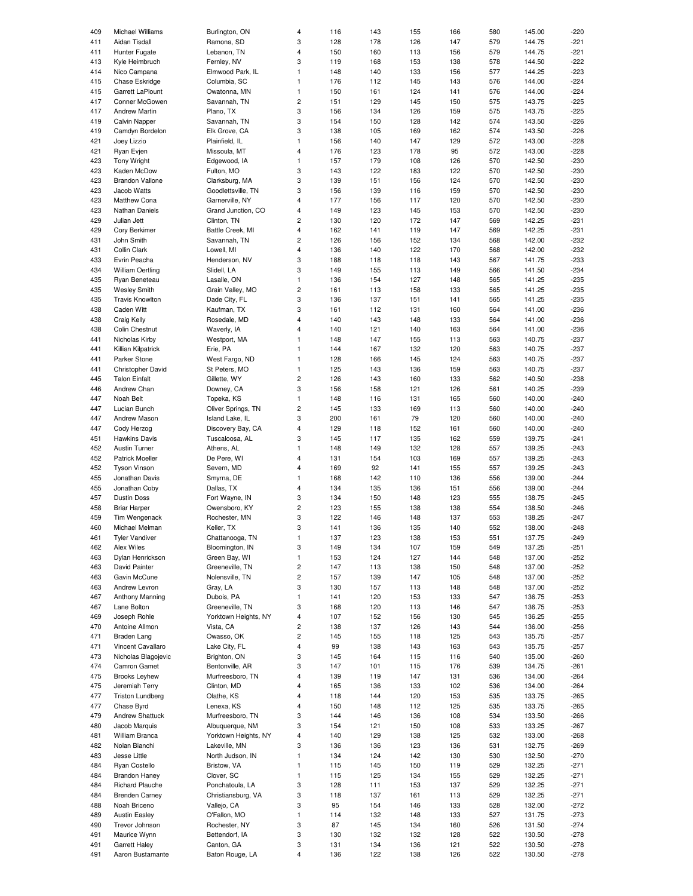| 409 | Michael Williams        | Burlington, ON       | 4                       | 116 | 143 | 155 | 166 | 580 | 145.00 | $-220$ |
|-----|-------------------------|----------------------|-------------------------|-----|-----|-----|-----|-----|--------|--------|
|     |                         |                      |                         |     |     |     |     |     |        |        |
| 411 | Aidan Tisdall           | Ramona, SD           | 3                       | 128 | 178 | 126 | 147 | 579 | 144.75 | $-221$ |
| 411 | Hunter Fugate           | Lebanon, TN          | 4                       | 150 | 160 | 113 | 156 | 579 | 144.75 | $-221$ |
| 413 | Kyle Heimbruch          | Fernley, NV          | 3                       | 119 | 168 | 153 | 138 | 578 | 144.50 | $-222$ |
| 414 | Nico Campana            | Elmwood Park, IL     | $\mathbf{1}$            | 148 | 140 | 133 | 156 | 577 | 144.25 | $-223$ |
|     |                         |                      |                         |     |     |     |     |     |        |        |
| 415 | Chase Eskridge          | Columbia, SC         | $\mathbf{1}$            | 176 | 112 | 145 | 143 | 576 | 144.00 | $-224$ |
| 415 | Garrett LaPlount        | Owatonna, MN         | $\mathbf{1}$            | 150 | 161 | 124 | 141 | 576 | 144.00 | $-224$ |
| 417 | Conner McGowen          | Savannah, TN         | 2                       | 151 | 129 | 145 | 150 | 575 | 143.75 | $-225$ |
| 417 | <b>Andrew Martin</b>    | Plano, TX            | 3                       | 156 | 134 | 126 | 159 | 575 | 143.75 | $-225$ |
|     |                         |                      |                         |     |     |     |     |     |        |        |
| 419 | <b>Calvin Napper</b>    | Savannah, TN         | 3                       | 154 | 150 | 128 | 142 | 574 | 143.50 | $-226$ |
| 419 | Camdyn Bordelon         | Elk Grove, CA        | 3                       | 138 | 105 | 169 | 162 | 574 | 143.50 | $-226$ |
| 421 |                         |                      | $\mathbf{1}$            | 156 |     | 147 | 129 | 572 | 143.00 | $-228$ |
|     | Joey Lizzio             | Plainfield, IL       |                         |     | 140 |     |     |     |        |        |
| 421 | Ryan Evjen              | Missoula, MT         | 4                       | 176 | 123 | 178 | 95  | 572 | 143.00 | $-228$ |
| 423 | <b>Tony Wright</b>      | Edgewood, IA         | $\mathbf{1}$            | 157 | 179 | 108 | 126 | 570 | 142.50 | $-230$ |
| 423 | Kaden McDow             | Fulton, MO           | 3                       | 143 | 122 | 183 | 122 | 570 | 142.50 | $-230$ |
|     |                         |                      |                         |     |     |     |     |     |        |        |
| 423 | <b>Brandon Vallone</b>  | Clarksburg, MA       | 3                       | 139 | 151 | 156 | 124 | 570 | 142.50 | $-230$ |
| 423 | Jacob Watts             | Goodlettsville, TN   | 3                       | 156 | 139 | 116 | 159 | 570 | 142.50 | $-230$ |
| 423 | <b>Matthew Cona</b>     | Garnerville, NY      | $\overline{4}$          | 177 | 156 | 117 | 120 | 570 | 142.50 | $-230$ |
| 423 | Nathan Daniels          | Grand Junction, CO   | 4                       | 149 | 123 | 145 | 153 | 570 | 142.50 | $-230$ |
|     |                         |                      |                         |     |     |     |     |     |        |        |
| 429 | Julian Jett             | Clinton, TN          | $\overline{c}$          | 130 | 120 | 172 | 147 | 569 | 142.25 | $-231$ |
| 429 | Cory Berkimer           | Battle Creek, MI     | 4                       | 162 | 141 | 119 | 147 | 569 | 142.25 | $-231$ |
| 431 | John Smith              | Savannah, TN         | 2                       | 126 | 156 | 152 | 134 | 568 | 142.00 | $-232$ |
|     |                         |                      |                         |     |     |     |     |     |        |        |
| 431 | Collin Clark            | Lowell, MI           | 4                       | 136 | 140 | 122 | 170 | 568 | 142.00 | $-232$ |
| 433 | Evrin Peacha            | Henderson, NV        | 3                       | 188 | 118 | 118 | 143 | 567 | 141.75 | $-233$ |
| 434 | <b>William Oertling</b> | Slidell, LA          | 3                       | 149 | 155 | 113 | 149 | 566 | 141.50 | $-234$ |
|     |                         |                      |                         |     |     |     |     |     |        |        |
| 435 | Ryan Beneteau           | Lasalle, ON          | $\mathbf{1}$            | 136 | 154 | 127 | 148 | 565 | 141.25 | $-235$ |
| 435 | <b>Wesley Smith</b>     | Grain Valley, MO     | 2                       | 161 | 113 | 158 | 133 | 565 | 141.25 | $-235$ |
| 435 | <b>Travis Knowlton</b>  | Dade City, FL        | 3                       | 136 | 137 | 151 | 141 | 565 | 141.25 | $-235$ |
|     |                         |                      |                         |     |     |     |     |     |        |        |
| 438 | Caden Witt              | Kaufman, TX          | 3                       | 161 | 112 | 131 | 160 | 564 | 141.00 | $-236$ |
| 438 | Craig Kelly             | Rosedale, MD         | 4                       | 140 | 143 | 148 | 133 | 564 | 141.00 | $-236$ |
| 438 | Colin Chestnut          | Waverly, IA          | 4                       | 140 | 121 | 140 | 163 | 564 | 141.00 | $-236$ |
|     |                         |                      |                         |     |     |     |     |     |        |        |
| 441 | Nicholas Kirby          | Westport, MA         | $\mathbf{1}$            | 148 | 147 | 155 | 113 | 563 | 140.75 | $-237$ |
| 441 | Killian Kilpatrick      | Erie, PA             | $\mathbf{1}$            | 144 | 167 | 132 | 120 | 563 | 140.75 | $-237$ |
| 441 | Parker Stone            | West Fargo, ND       | $\mathbf{1}$            | 128 | 166 | 145 | 124 | 563 | 140.75 | $-237$ |
| 441 |                         |                      | $\mathbf{1}$            |     |     |     |     |     |        |        |
|     | Christopher David       | St Peters, MO        |                         | 125 | 143 | 136 | 159 | 563 | 140.75 | $-237$ |
| 445 | <b>Talon Einfalt</b>    | Gillette, WY         | $\overline{\mathbf{c}}$ | 126 | 143 | 160 | 133 | 562 | 140.50 | $-238$ |
| 446 | Andrew Chan             | Downey, CA           | 3                       | 156 | 158 | 121 | 126 | 561 | 140.25 | $-239$ |
| 447 | Noah Belt               | Topeka, KS           | $\mathbf{1}$            | 148 | 116 | 131 | 165 | 560 | 140.00 | $-240$ |
|     |                         |                      |                         |     |     |     |     |     |        |        |
| 447 | Lucian Bunch            | Oliver Springs, TN   | $\overline{c}$          | 145 | 133 | 169 | 113 | 560 | 140.00 | $-240$ |
| 447 | Andrew Mason            | Island Lake, IL      | 3                       | 200 | 161 | 79  | 120 | 560 | 140.00 | $-240$ |
| 447 | Cody Herzog             | Discovery Bay, CA    | $\overline{\mathbf{4}}$ | 129 | 118 | 152 | 161 | 560 | 140.00 | $-240$ |
| 451 |                         |                      | 3                       |     |     |     |     |     |        |        |
|     | <b>Hawkins Davis</b>    | Tuscaloosa, AL       |                         | 145 | 117 | 135 | 162 | 559 | 139.75 | $-241$ |
| 452 | <b>Austin Turner</b>    | Athens, AL           | $\mathbf{1}$            | 148 | 149 | 132 | 128 | 557 | 139.25 | $-243$ |
| 452 | <b>Patrick Moeller</b>  | De Pere, WI          | 4                       | 131 | 154 | 103 | 169 | 557 | 139.25 | $-243$ |
| 452 | <b>Tyson Vinson</b>     | Severn, MD           | 4                       | 169 | 92  | 141 | 155 | 557 | 139.25 | $-243$ |
|     |                         |                      |                         |     |     |     |     |     |        |        |
| 455 | Jonathan Davis          | Smyrna, DE           | $\mathbf{1}$            | 168 | 142 | 110 | 136 | 556 | 139.00 | $-244$ |
| 455 | Jonathan Coby           | Dallas, TX           | 4                       | 134 | 135 | 136 | 151 | 556 | 139.00 | $-244$ |
| 457 | <b>Dustin Doss</b>      | Fort Wayne, IN       | 3                       | 134 | 150 | 148 | 123 | 555 | 138.75 | $-245$ |
|     |                         |                      |                         |     |     |     |     |     |        |        |
| 458 | <b>Briar Harper</b>     | Owensboro, KY        | $\overline{\mathbf{c}}$ | 123 | 155 | 138 | 138 | 554 | 138.50 | $-246$ |
| 459 | Tim Wengenack           | Rochester, MN        | 3                       | 122 | 146 | 148 | 137 | 553 | 138.25 | $-247$ |
| 460 | Michael Melman          | Keller, TX           | 3                       | 141 | 136 | 135 | 140 | 552 | 138.00 | $-248$ |
|     |                         |                      |                         |     |     |     |     |     |        |        |
| 461 | I yler Vandiver         | Chattanooga, IN      |                         | 137 | 123 | 138 | 153 | 551 | 137.75 | -249   |
| 462 | Alex Wiles              | Bloomington, IN      | 3                       | 149 | 134 | 107 | 159 | 549 | 137.25 | $-251$ |
| 463 | Dylan Henrickson        | Green Bay, WI        | $\mathbf{1}$            | 153 | 124 | 127 | 144 | 548 | 137.00 | $-252$ |
|     | David Painter           | Greeneville, TN      |                         |     |     |     |     |     |        |        |
| 463 |                         |                      | $\mathbf 2$             | 147 | 113 | 138 | 150 | 548 | 137.00 | $-252$ |
| 463 | Gavin McCune            | Nolensville, TN      | $\overline{\mathbf{c}}$ | 157 | 139 | 147 | 105 | 548 | 137.00 | $-252$ |
| 463 | Andrew Levron           | Gray, LA             | 3                       | 130 | 157 | 113 | 148 | 548 | 137.00 | $-252$ |
|     |                         | Dubois, PA           | $\mathbf{1}$            |     | 120 |     |     |     |        | $-253$ |
| 467 | Anthony Manning         |                      |                         | 141 |     | 153 | 133 | 547 | 136.75 |        |
| 467 | Lane Bolton             | Greeneville, TN      | 3                       | 168 | 120 | 113 | 146 | 547 | 136.75 | $-253$ |
| 469 | Joseph Rohle            | Yorktown Heights, NY | 4                       | 107 | 152 | 156 | 130 | 545 | 136.25 | $-255$ |
| 470 | Antoine Allmon          | Vista, CA            | 2                       | 138 | 137 | 126 | 143 | 544 | 136.00 | $-256$ |
|     |                         | Owasso, OK           | 2                       |     |     |     |     |     |        |        |
| 471 | Braden Lang             |                      |                         | 145 | 155 | 118 | 125 | 543 | 135.75 | -257   |
| 471 | Vincent Cavallaro       | Lake City, FL        | 4                       | 99  | 138 | 143 | 163 | 543 | 135.75 | $-257$ |
| 473 | Nicholas Blagojevic     | Brighton, ON         | 3                       | 145 | 164 | 115 | 116 | 540 | 135.00 | $-260$ |
| 474 | Camron Gamet            | Bentonville, AR      | 3                       | 147 | 101 |     | 176 | 539 | 134.75 | $-261$ |
|     |                         |                      |                         |     |     | 115 |     |     |        |        |
| 475 | <b>Brooks Leyhew</b>    | Murfreesboro, TN     | 4                       | 139 | 119 | 147 | 131 | 536 | 134.00 | $-264$ |
| 475 | Jeremiah Terry          | Clinton, MD          | 4                       | 165 | 136 | 133 | 102 | 536 | 134.00 | $-264$ |
| 477 | <b>Triston Lundberg</b> | Olathe, KS           | 4                       | 118 | 144 | 120 | 153 | 535 | 133.75 | $-265$ |
| 477 | Chase Byrd              | Lenexa, KS           | 4                       | 150 | 148 | 112 |     | 535 |        | $-265$ |
|     |                         |                      |                         |     |     |     | 125 |     | 133.75 |        |
| 479 | Andrew Shattuck         | Murfreesboro, TN     | 3                       | 144 | 146 | 136 | 108 | 534 | 133.50 | $-266$ |
| 480 | Jacob Marquis           | Albuquerque, NM      | 3                       | 154 | 121 | 150 | 108 | 533 | 133.25 | $-267$ |
| 481 | William Branca          | Yorktown Heights, NY | 4                       | 140 | 129 | 138 | 125 | 532 | 133.00 | $-268$ |
|     |                         |                      |                         |     |     |     |     |     |        |        |
| 482 | Nolan Bianchi           | Lakeville, MN        | 3                       | 136 | 136 | 123 | 136 | 531 | 132.75 | $-269$ |
| 483 | Jesse Little            | North Judson, IN     | 1                       | 134 | 124 | 142 | 130 | 530 | 132.50 | $-270$ |
| 484 | Ryan Costello           | Bristow, VA          | $\mathbf{1}$            | 115 | 145 | 150 | 119 | 529 | 132.25 | $-271$ |
|     |                         | Clover, SC           | $\mathbf{1}$            |     | 125 |     |     |     |        | $-271$ |
| 484 | <b>Brandon Haney</b>    |                      |                         | 115 |     | 134 | 155 | 529 | 132.25 |        |
| 484 | <b>Richard Plauche</b>  | Ponchatoula, LA      | 3                       | 128 | 111 | 153 | 137 | 529 | 132.25 | $-271$ |
| 484 | <b>Brenden Carney</b>   | Christiansburg, VA   | 3                       | 118 | 137 | 161 | 113 | 529 | 132.25 | $-271$ |
| 488 | Noah Briceno            | Vallejo, CA          | 3                       | 95  | 154 | 146 | 133 | 528 | 132.00 | $-272$ |
|     |                         |                      |                         |     |     |     |     |     |        |        |
| 489 | <b>Austin Easley</b>    | O'Fallon, MO         | 1                       | 114 | 132 | 148 | 133 | 527 | 131.75 | $-273$ |
| 490 | Trevor Johnson          | Rochester, NY        | 3                       | 87  | 145 | 134 | 160 | 526 | 131.50 | $-274$ |
| 491 | Maurice Wynn            | Bettendorf, IA       | 3                       | 130 | 132 | 132 | 128 | 522 | 130.50 | $-278$ |
| 491 | Garrett Haley           | Canton, GA           | 3                       | 131 | 134 | 136 | 121 | 522 | 130.50 | $-278$ |
|     |                         |                      |                         |     |     |     |     |     |        |        |
| 491 | Aaron Bustamante        | Baton Rouge, LA      | 4                       | 136 | 122 | 138 | 126 | 522 | 130.50 | $-278$ |